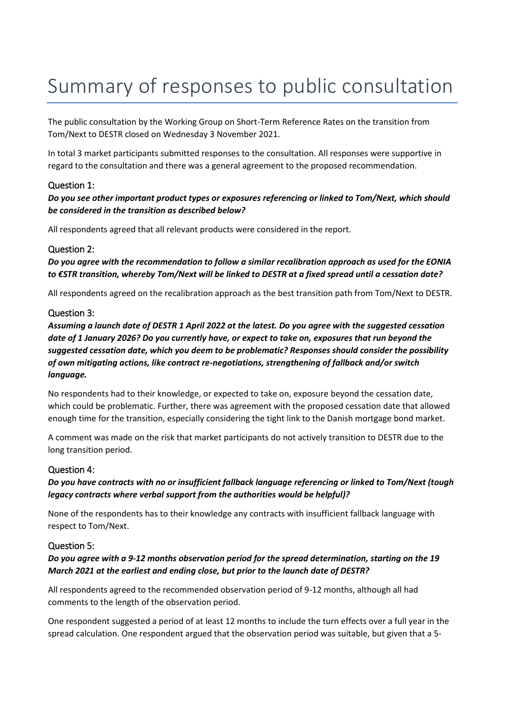# Summary of responses to public consultation

The public consultation by the Working Group on Short-Term Reference Rates on the transition from Tom/Next to DESTR closed on Wednesday 3 November 2021.

In total 3 market participants submitted responses to the consultation. All responses were supportive in regard to the consultation and there was a general agreement to the proposed recommendation.

# Question 1:

*Do you see other important product types or exposures referencing or linked to Tom/Next, which should be considered in the transition as described below?*

All respondents agreed that all relevant products were considered in the report.

### Question 2:

*Do you agree with the recommendation to follow a similar recalibration approach as used for the EONIA to €STR transition, whereby Tom/Next will be linked to DESTR at a fixed spread until a cessation date?*

All respondents agreed on the recalibration approach as the best transition path from Tom/Next to DESTR.

### Question 3:

*Assuming a launch date of DESTR 1 April 2022 at the latest. Do you agree with the suggested cessation date of 1 January 2026? Do you currently have, or expect to take on, exposures that run beyond the suggested cessation date, which you deem to be problematic? Responses should consider the possibility of own mitigating actions, like contract re-negotiations, strengthening of fallback and/or switch language.* 

No respondents had to their knowledge, or expected to take on, exposure beyond the cessation date, which could be problematic. Further, there was agreement with the proposed cessation date that allowed enough time for the transition, especially considering the tight link to the Danish mortgage bond market.

A comment was made on the risk that market participants do not actively transition to DESTR due to the long transition period.

### Question 4:

*Do you have contracts with no or insufficient fallback language referencing or linked to Tom/Next (tough legacy contracts where verbal support from the authorities would be helpful)?*

None of the respondents has to their knowledge any contracts with insufficient fallback language with respect to Tom/Next.

### Question 5:

*Do you agree with a 9-12 months observation period for the spread determination, starting on the 19 March 2021 at the earliest and ending close, but prior to the launch date of DESTR?*

All respondents agreed to the recommended observation period of 9-12 months, although all had comments to the length of the observation period.

One respondent suggested a period of at least 12 months to include the turn effects over a full year in the spread calculation. One respondent argued that the observation period was suitable, but given that a 5